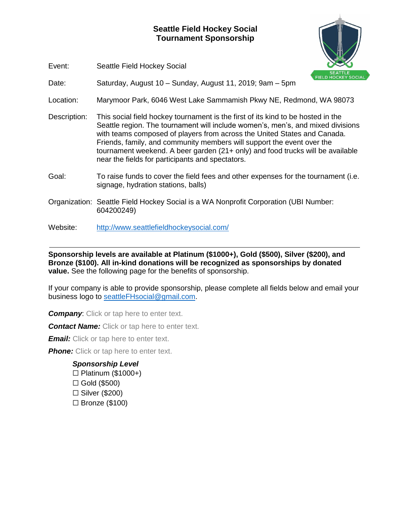## **Seattle Field Hockey Social Tournament Sponsorship**



Event: Seattle Field Hockey Social

Date: Saturday, August 10 – Sunday, August 11, 2019; 9am – 5pm

Location: Marymoor Park, 6046 West Lake Sammamish Pkwy NE, Redmond, WA 98073

- Description: This social field hockey tournament is the first of its kind to be hosted in the Seattle region. The tournament will include women's, men's, and mixed divisions with teams composed of players from across the United States and Canada. Friends, family, and community members will support the event over the tournament weekend. A beer garden (21+ only) and food trucks will be available near the fields for participants and spectators.
- Goal: To raise funds to cover the field fees and other expenses for the tournament (i.e. signage, hydration stations, balls)
- Organization: Seattle Field Hockey Social is a WA Nonprofit Corporation (UBI Number: 604200249)
- Website: <http://www.seattlefieldhockeysocial.com/>

**Sponsorship levels are available at Platinum (\$1000+), Gold (\$500), Silver (\$200), and Bronze (\$100). All in-kind donations will be recognized as sponsorships by donated value.** See the following page for the benefits of sponsorship.

If your company is able to provide sponsorship, please complete all fields below and email your business logo to [seattleFHsocial@gmail.com.](mailto:seattleFHsocial@gmail.com)

**Company:** Click or tap here to enter text.

**Contact Name:** Click or tap here to enter text.

*Email:* Click or tap here to enter text.

**Phone:** Click or tap here to enter text.

## *Sponsorship Level*

- $\Box$  Platinum (\$1000+)
- $\Box$  Gold (\$500)
- ☐ Silver (\$200)
- $\square$  Bronze (\$100)